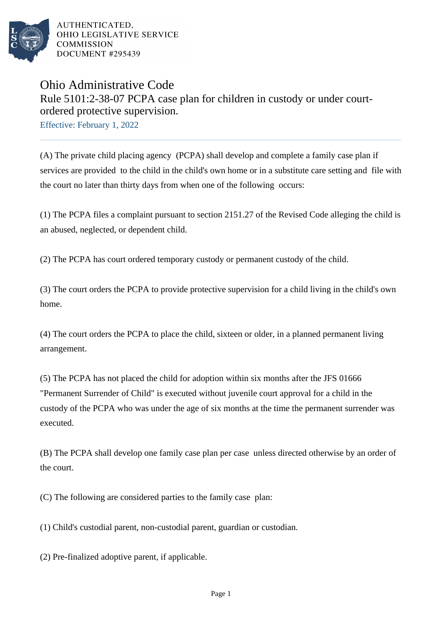

## Ohio Administrative Code Rule 5101:2-38-07 PCPA case plan for children in custody or under courtordered protective supervision.

Effective: February 1, 2022

(A) The private child placing agency (PCPA) shall develop and complete a family case plan if services are provided to the child in the child's own home or in a substitute care setting and file with the court no later than thirty days from when one of the following occurs:

(1) The PCPA files a complaint pursuant to section 2151.27 of the Revised Code alleging the child is an abused, neglected, or dependent child.

(2) The PCPA has court ordered temporary custody or permanent custody of the child.

(3) The court orders the PCPA to provide protective supervision for a child living in the child's own home.

(4) The court orders the PCPA to place the child, sixteen or older, in a planned permanent living arrangement.

(5) The PCPA has not placed the child for adoption within six months after the JFS 01666 "Permanent Surrender of Child" is executed without juvenile court approval for a child in the custody of the PCPA who was under the age of six months at the time the permanent surrender was executed.

(B) The PCPA shall develop one family case plan per case unless directed otherwise by an order of the court.

(C) The following are considered parties to the family case plan:

(1) Child's custodial parent, non-custodial parent, guardian or custodian.

(2) Pre-finalized adoptive parent, if applicable.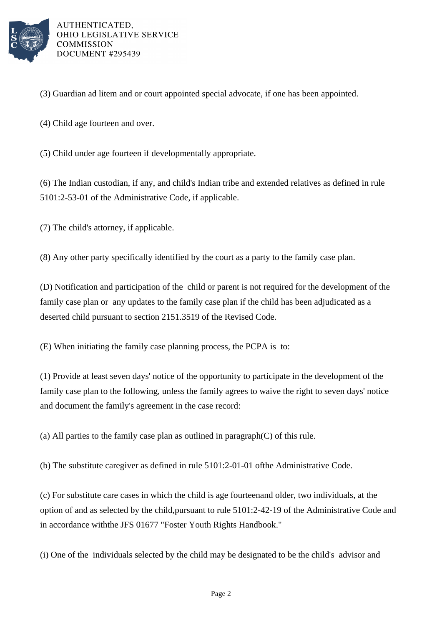

(3) Guardian ad litem and or court appointed special advocate, if one has been appointed.

(4) Child age fourteen and over.

(5) Child under age fourteen if developmentally appropriate.

(6) The Indian custodian, if any, and child's Indian tribe and extended relatives as defined in rule 5101:2-53-01 of the Administrative Code, if applicable.

(7) The child's attorney, if applicable.

(8) Any other party specifically identified by the court as a party to the family case plan.

(D) Notification and participation of the child or parent is not required for the development of the family case plan or any updates to the family case plan if the child has been adjudicated as a deserted child pursuant to section 2151.3519 of the Revised Code.

(E) When initiating the family case planning process, the PCPA is to:

(1) Provide at least seven days' notice of the opportunity to participate in the development of the family case plan to the following, unless the family agrees to waive the right to seven days' notice and document the family's agreement in the case record:

(a) All parties to the family case plan as outlined in paragraph  $(C)$  of this rule.

(b) The substitute caregiver as defined in rule  $5101:2-01-01$  of the Administrative Code.

(c) For substitute care cases in which the child is age fourteen and older, two individuals, at the option of and as selected by the child, pursuant to rule 5101:2-42-19 of the Administrative Code and in accordance with the JFS 01677 "Foster Youth Rights Handbook."

(i) One of the individuals selected by the child may be designated to be the child's advisor and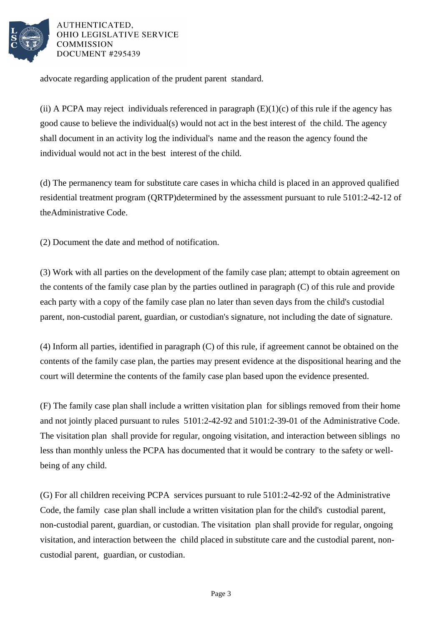

advocate regarding application of the prudent parent standard.

(ii) A PCPA may reject individuals referenced in paragraph  $(E)(1)(c)$  of this rule if the agency has good cause to believe the individual(s) would not act in the best interest of the child. The agency shall document in an activity log the individual's name and the reason the agency found the individual would not act in the best interest of the child.

(d) The permanency team for substitute care cases in which a child is placed in an approved qualified residential treatment program (QRTP) determined by the assessment pursuant to rule 5101:2-42-12 of the Administrative Code.

(2) Document the date and method of notification.

(3) Work with all parties on the development of the family case plan; attempt to obtain agreement on the contents of the family case plan by the parties outlined in paragraph  $(C)$  of this rule and provide each party with a copy of the family case plan no later than seven days from the child's custodial parent, non-custodial parent, guardian, or custodian's signature, not including the date of signature.

(4) Inform all parties, identified in paragraph  $(C)$  of this rule, if agreement cannot be obtained on the contents of the family case plan, the parties may present evidence at the dispositional hearing and the court will determine the contents of the family case plan based upon the evidence presented.

(F) The family case plan shall include a written visitation plan for siblings removed from their home and not jointly placed pursuant to rules 5101:2-42-92 and 5101:2-39-01 of the Administrative Code. The visitation plan shall provide for regular, ongoing visitation, and interaction between siblings no less than monthly unless the PCPA has documented that it would be contrary to the safety or wellbeing of any child.

(G) For all children receiving PCPA services pursuant to rule 5101:2-42-92 of the Administrative Code, the family case plan shall include a written visitation plan for the child's custodial parent, non-custodial parent, guardian, or custodian. The visitation plan shall provide for regular, ongoing visitation, and interaction between the child placed in substitute care and the custodial parent, noncustodial parent, guardian, or custodian.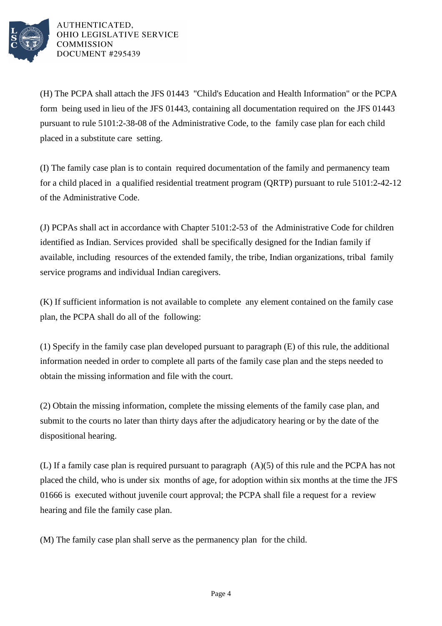

(H) The PCPA shall attach the JFS 01443 "Child's Education and Health Information" or the PCPA form being used in lieu of the JFS 01443, containing all documentation required on the JFS 01443 pursuant to rule 5101:2-38-08 of the Administrative Code, to the family case plan for each child placed in a substitute care setting.

(I) The family case plan is to contain required documentation of the family and permanency team for a child placed in a qualified residential treatment program (QRTP) pursuant to rule 5101:2-42-12 of the Administrative Code.

(J) PCPAs shall act in accordance with Chapter 5101:2-53 of the Administrative Code for children identified as Indian. Services provided shall be specifically designed for the Indian family if available, including resources of the extended family, the tribe, Indian organizations, tribal family service programs and individual Indian caregivers.

(K) If sufficient information is not available to complete any element contained on the family case plan, the PCPA shall do all of the following:

(1) Specify in the family case plan developed pursuant to paragraph (E) of this rule, the additional information needed in order to complete all parts of the family case plan and the steps needed to obtain the missing information and file with the court.

(2) Obtain the missing information, complete the missing elements of the family case plan, and submit to the courts no later than thirty days after the adjudicatory hearing or by the date of the dispositional hearing.

(L) If a family case plan is required pursuant to paragraph (A)(5) of this rule and the PCPA has not placed the child, who is under six months of age, for adoption within six months at the time the JFS 01666 is executed without juvenile court approval; the PCPA shall file a request for a review hearing and file the family case plan.

(M) The family case plan shall serve as the permanency plan for the child.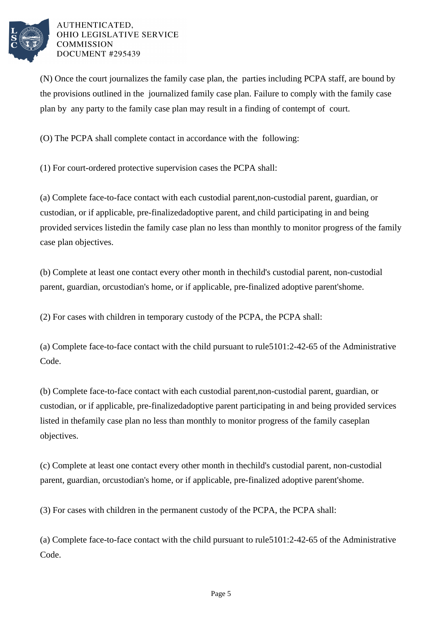

(N) Once the court journalizes the family case plan, the parties including PCPA staff, are bound by the provisions outlined in the journalized family case plan. Failure to comply with the family case plan by any party to the family case plan may result in a finding of contempt of court.

(O) The PCPA shall complete contact in accordance with the following:

(1) For court-ordered protective supervision cases the PCPA shall:

(a) Complete face-to-face contact with each custodial parent, non-custodial parent, guardian, or custodian, or if applicable, pre-finalized adoptive parent, and child participating in and being provided services listed in the family case plan no less than monthly to monitor progress of the family case plan objectives.

(b) Complete at least one contact every other month in the child's custodial parent, non-custodial parent, guardian, or custodian's home, or if applicable, pre-finalized adoptive parent's home.

(2) For cases with children in temporary custody of the PCPA, the PCPA shall:

(a) Complete face-to-face contact with the child pursuant to rule  $5101:2-42-65$  of the Administrative Code.

(b) Complete face-to-face contact with each custodial parent, non-custodial parent, guardian, or custodian, or if applicable, pre-finalized adoptive parent participating in and being provided services listed in the family case plan no less than monthly to monitor progress of the family case plan objectives.

(c) Complete at least one contact every other month in the child's custodial parent, non-custodial parent, guardian, or custodian's home, or if applicable, pre-finalized adoptive parent's home.

(3) For cases with children in the permanent custody of the PCPA, the PCPA shall:

(a) Complete face-to-face contact with the child pursuant to rule  $5101:2-42-65$  of the Administrative Code.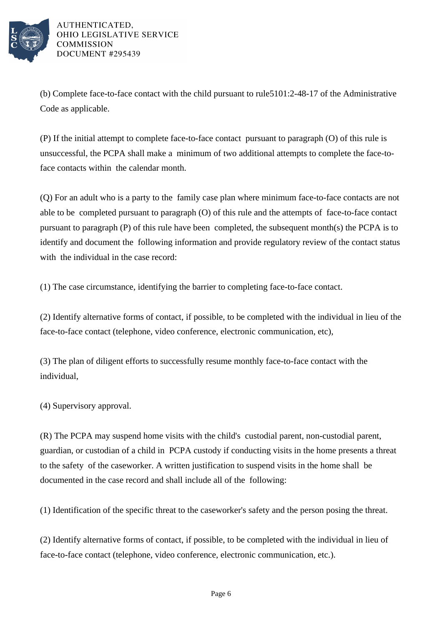

(b) Complete face-to-face contact with the child pursuant to rule  $5101:2-48-17$  of the Administrative Code as applicable.

(P) If the initial attempt to complete face-to-face contact pursuant to paragraph (O) of this rule is unsuccessful, the PCPA shall make a minimum of two additional attempts to complete the face-toface contacts within the calendar month.

(Q) For an adult who is a party to the family case plan where minimum face-to-face contacts are not able to be completed pursuant to paragraph (O) of this rule and the attempts of face-to-face contact pursuant to paragraph  $(P)$  of this rule have been completed, the subsequent month(s) the PCPA is to identify and document the following information and provide regulatory review of the contact status with the individual in the case record:

(1) The case circumstance, identifying the barrier to completing face-to-face contact.

(2) Identify alternative forms of contact, if possible, to be completed with the individual in lieu of the face-to-face contact (telephone, video conference, electronic communication, etc),

(3) The plan of diligent efforts to successfully resume monthly face-to-face contact with the individual,

(4) Supervisory approval.

(R) The PCPA may suspend home visits with the child's custodial parent, non-custodial parent, guardian, or custodian of a child in PCPA custody if conducting visits in the home presents a threat to the safety of the caseworker. A written justification to suspend visits in the home shall be documented in the case record and shall include all of the following:

(1) Identification of the specific threat to the caseworker's safety and the person posing the threat.

(2) Identify alternative forms of contact, if possible, to be completed with the individual in lieu of face-to-face contact (telephone, video conference, electronic communication, etc.).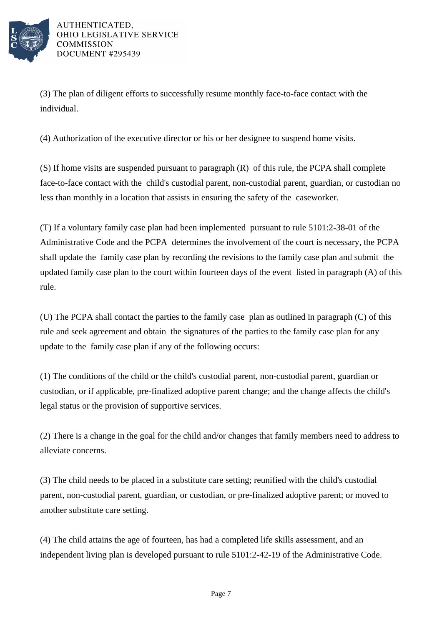

(3) The plan of diligent efforts to successfully resume monthly face-to-face contact with the individual.

(4) Authorization of the executive director or his or her designee to suspend home visits.

(S) If home visits are suspended pursuant to paragraph (R) of this rule, the PCPA shall complete face-to-face contact with the child's custodial parent, non-custodial parent, guardian, or custodian no less than monthly in a location that assists in ensuring the safety of the caseworker.

(T) If a voluntary family case plan had been implemented pursuant to rule 5101:2-38-01 of the Administrative Code and the PCPA determines the involvement of the court is necessary, the PCPA shall update the family case plan by recording the revisions to the family case plan and submit the updated family case plan to the court within fourteen days of the event listed in paragraph (A) of this rule.

(U) The PCPA shall contact the parties to the family case plan as outlined in paragraph (C) of this rule and seek agreement and obtain the signatures of the parties to the family case plan for any update to the family case plan if any of the following occurs:

(1) The conditions of the child or the child's custodial parent, non-custodial parent, guardian or custodian, or if applicable, pre-finalized adoptive parent change; and the change affects the child's legal status or the provision of supportive services.

(2) There is a change in the goal for the child and/or changes that family members need to address to alleviate concerns.

(3) The child needs to be placed in a substitute care setting; reunified with the child's custodial parent, non-custodial parent, guardian, or custodian, or pre-finalized adoptive parent; or moved to another substitute care setting.

(4) The child attains the age of fourteen, has had a completed life skills assessment, and an independent living plan is developed pursuant to rule  $5101:2-42-19$  of the Administrative Code.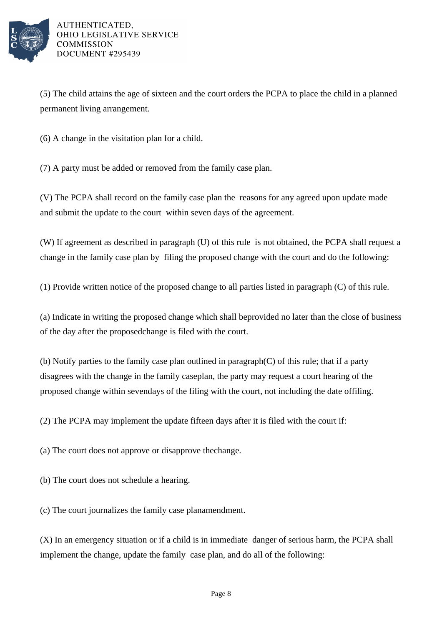

(5) The child attains the age of sixteen and the court orders the PCPA to place the child in a planned permanent living arrangement.

 $(6)$  A change in the visitation plan for a child.

(7) A party must be added or removed from the family case plan.

(V) The PCPA shall record on the family case plan the reasons for any agreed upon update made and submit the update to the court within seven days of the agreement.

(W) If agreement as described in paragraph (U) of this rule is not obtained, the PCPA shall request a change in the family case plan by filing the proposed change with the court and do the following:

(1) Provide written notice of the proposed change to all parties listed in paragraph  $(C)$  of this rule.

(a) Indicate in writing the proposed change which shall be provided no later than the close of business of the day after the proposed change is filed with the court.

(b) Notify parties to the family case plan outlined in paragraph  $(C)$  of this rule; that if a party disagrees with the change in the family case plan, the party may request a court hearing of the proposed change within seven days of the filing with the court, not including the date of filing.

 $(2)$  The PCPA may implement the update fifteen days after it is filed with the court if:

(a) The court does not approve or disapprove the change.

(b) The court does not schedule a hearing.

(c) The court journalizes the family case plan amendment.

(X) In an emergency situation or if a child is in immediate danger of serious harm, the PCPA shall implement the change, update the family case plan, and do all of the following: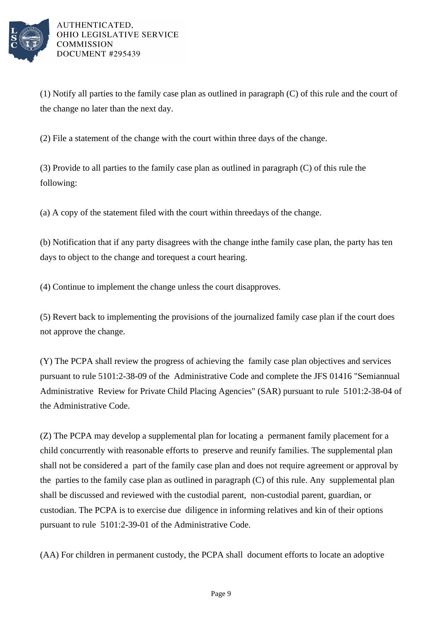

(1) Notify all parties to the family case  $\pi$  plan as outlined in paragraph (C) of this rule and the court of the change no later than the next day.

(2) File a statement of the change with the court within three days of the change.

(3) Provide to all parties to the family case plan as outlined in paragraph  $(C)$  of this rule the following:

(a) A copy of the statement filed with the court within three days of the change.

(b) Notification that if any party disagrees with the change in the family case plan, the party has ten days to object to the change and to request a court hearing.

(4) Continue to implement the change unless the court disapproves.

(5) Revert back to implementing the provisions of the journalized family case plan if the court does not approve the change.

(Y) The PCPA shall review the progress of achieving the family case plan objectives and services pursuant to rule 5101:2-38-09 of the Administrative Code and complete the JFS 01416 "Semiannual Administrative Review for Private Child Placing Agencies" (SAR) pursuant to rule 5101:2-38-04 of the Administrative Code.

(Z) The PCPA may develop a supplemental plan for locating a permanent family placement for a child concurrently with reasonable efforts to preserve and reunify families. The supplemental plan shall not be considered a part of the family case plan and does not require agreement or approval by the parties to the family case plan as outlined in paragraph (C) of this rule. Any supplemental plan shall be discussed and reviewed with the custodial parent, non-custodial parent, guardian, or custodian. The PCPA is to exercise due diligence in informing relatives and kin of their options pursuant to rule 5101:2-39-01 of the Administrative Code.

(AA) For children in permanent custody, the PCPA shall document efforts to locate an adoptive